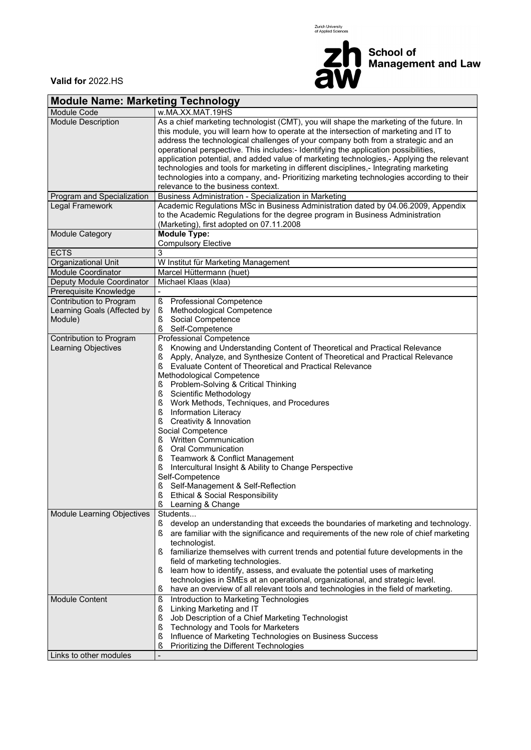



**Valid for** 2022.HS

| <b>Module Name: Marketing Technology</b>                          |                                                                                                                                                                                                                                                                                                                                                                                                                                                                                                                                                                                                                                                                                                                                                                                                                                      |  |  |  |  |  |  |  |  |
|-------------------------------------------------------------------|--------------------------------------------------------------------------------------------------------------------------------------------------------------------------------------------------------------------------------------------------------------------------------------------------------------------------------------------------------------------------------------------------------------------------------------------------------------------------------------------------------------------------------------------------------------------------------------------------------------------------------------------------------------------------------------------------------------------------------------------------------------------------------------------------------------------------------------|--|--|--|--|--|--|--|--|
| <b>Module Code</b>                                                | w.MA.XX.MAT.19HS                                                                                                                                                                                                                                                                                                                                                                                                                                                                                                                                                                                                                                                                                                                                                                                                                     |  |  |  |  |  |  |  |  |
| <b>Module Description</b>                                         | As a chief marketing technologist (CMT), you will shape the marketing of the future. In<br>this module, you will learn how to operate at the intersection of marketing and IT to<br>address the technological challenges of your company both from a strategic and an<br>operational perspective. This includes:- Identifying the application possibilities,<br>application potential, and added value of marketing technologies,- Applying the relevant<br>technologies and tools for marketing in different disciplines,- Integrating marketing<br>technologies into a company, and- Prioritizing marketing technologies according to their<br>relevance to the business context.                                                                                                                                                  |  |  |  |  |  |  |  |  |
| Program and Specialization                                        | Business Administration - Specialization in Marketing                                                                                                                                                                                                                                                                                                                                                                                                                                                                                                                                                                                                                                                                                                                                                                                |  |  |  |  |  |  |  |  |
| Legal Framework                                                   | Academic Regulations MSc in Business Administration dated by 04.06.2009, Appendix<br>to the Academic Regulations for the degree program in Business Administration<br>(Marketing), first adopted on 07.11.2008                                                                                                                                                                                                                                                                                                                                                                                                                                                                                                                                                                                                                       |  |  |  |  |  |  |  |  |
| Module Category                                                   | <b>Module Type:</b><br><b>Compulsory Elective</b>                                                                                                                                                                                                                                                                                                                                                                                                                                                                                                                                                                                                                                                                                                                                                                                    |  |  |  |  |  |  |  |  |
| <b>ECTS</b>                                                       | 3                                                                                                                                                                                                                                                                                                                                                                                                                                                                                                                                                                                                                                                                                                                                                                                                                                    |  |  |  |  |  |  |  |  |
| Organizational Unit                                               | W Institut für Marketing Management                                                                                                                                                                                                                                                                                                                                                                                                                                                                                                                                                                                                                                                                                                                                                                                                  |  |  |  |  |  |  |  |  |
| <b>Module Coordinator</b>                                         | Marcel Hüttermann (huet)                                                                                                                                                                                                                                                                                                                                                                                                                                                                                                                                                                                                                                                                                                                                                                                                             |  |  |  |  |  |  |  |  |
| Deputy Module Coordinator                                         | Michael Klaas (klaa)                                                                                                                                                                                                                                                                                                                                                                                                                                                                                                                                                                                                                                                                                                                                                                                                                 |  |  |  |  |  |  |  |  |
| Prerequisite Knowledge                                            |                                                                                                                                                                                                                                                                                                                                                                                                                                                                                                                                                                                                                                                                                                                                                                                                                                      |  |  |  |  |  |  |  |  |
| Contribution to Program<br>Learning Goals (Affected by<br>Module) | $\S$<br>Professional Competence<br>Methodological Competence<br>ş<br>Social Competence<br>ş<br>ş<br>Self-Competence                                                                                                                                                                                                                                                                                                                                                                                                                                                                                                                                                                                                                                                                                                                  |  |  |  |  |  |  |  |  |
| Contribution to Program<br>Learning Objectives                    | <b>Professional Competence</b><br>Knowing and Understanding Content of Theoretical and Practical Relevance<br>ş<br>$\S$<br>Apply, Analyze, and Synthesize Content of Theoretical and Practical Relevance<br>ş<br>Evaluate Content of Theoretical and Practical Relevance<br>Methodological Competence<br>Problem-Solving & Critical Thinking<br>ş<br>$\S$<br>Scientific Methodology<br>Ş<br>Work Methods, Techniques, and Procedures<br>ş<br>Information Literacy<br>Creativity & Innovation<br>ş<br>Social Competence<br><b>Written Communication</b><br>ş<br>$\S$<br><b>Oral Communication</b><br>ş<br>Teamwork & Conflict Management<br>ş<br>Intercultural Insight & Ability to Change Perspective<br>Self-Competence<br>ş<br>Self-Management & Self-Reflection<br>ş<br>Ethical & Social Responsibility<br>ş<br>Learning & Change |  |  |  |  |  |  |  |  |
| Module Learning Objectives                                        | Students<br>develop an understanding that exceeds the boundaries of marketing and technology.<br>Š<br>are familiar with the significance and requirements of the new role of chief marketing<br>ş<br>technologist.<br>familiarize themselves with current trends and potential future developments in the<br>field of marketing technologies.<br>learn how to identify, assess, and evaluate the potential uses of marketing<br>ş<br>technologies in SMEs at an operational, organizational, and strategic level.<br>have an overview of all relevant tools and technologies in the field of marketing.<br>S                                                                                                                                                                                                                         |  |  |  |  |  |  |  |  |
| <b>Module Content</b>                                             | Introduction to Marketing Technologies<br>ş<br>$\S$<br>Linking Marketing and IT<br>ş<br>Job Description of a Chief Marketing Technologist<br>ş<br>Technology and Tools for Marketers<br>Influence of Marketing Technologies on Business Success<br>ş<br>ş<br>Prioritizing the Different Technologies                                                                                                                                                                                                                                                                                                                                                                                                                                                                                                                                 |  |  |  |  |  |  |  |  |
| Links to other modules                                            |                                                                                                                                                                                                                                                                                                                                                                                                                                                                                                                                                                                                                                                                                                                                                                                                                                      |  |  |  |  |  |  |  |  |